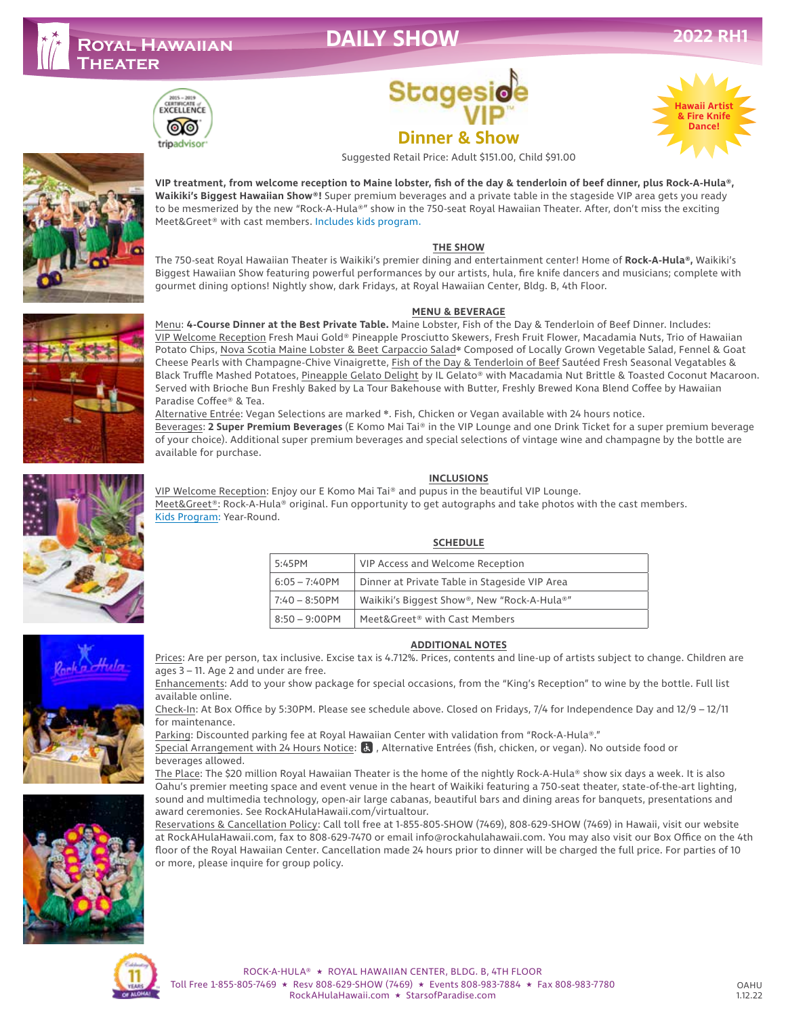## **DAILY SHOW**



# **Stages Dinner & Show** Suggested Retail Price: Adult \$151.00, Child \$91.00







#### **THE SHOW**

The 750-seat Royal Hawaiian Theater is Waikiki's premier dining and entertainment center! Home of **Rock-A-Hula®,** Waikiki's Biggest Hawaiian Show featuring powerful performances by our artists, hula, fire knife dancers and musicians; complete with gourmet dining options! Nightly show, dark Fridays, at Royal Hawaiian Center, Bldg. B, 4th Floor.

#### **MENU & BEVERAGE**

Menu: **4-Course Dinner at the Best Private Table.** Maine Lobster, Fish of the Day & Tenderloin of Beef Dinner. Includes: VIP Welcome Reception Fresh Maui Gold® Pineapple Prosciutto Skewers, Fresh Fruit Flower, Macadamia Nuts, Trio of Hawaiian Potato Chips, Nova Scotia Maine Lobster & Beet Carpaccio Salad❋ Composed of Locally Grown Vegetable Salad, Fennel & Goat Cheese Pearls with Champagne-Chive Vinaigrette, Fish of the Day & Tenderloin of Beef Sautéed Fresh Seasonal Vegatables & Black Truffle Mashed Potatoes, Pineapple Gelato Delight by IL Gelato® with Macadamia Nut Brittle & Toasted Coconut Macaroon. Served with Brioche Bun Freshly Baked by La Tour Bakehouse with Butter, Freshly Brewed Kona Blend Coffee by Hawaiian Paradise Coffee® & Tea.

Alternative Entrée: Vegan Selections are marked ❋. Fish, Chicken or Vegan available with 24 hours notice. Beverages: **2 Super Premium Beverages** (E Komo Mai Tai® in the VIP Lounge and one Drink Ticket for a super premium beverage of your choice). Additional super premium beverages and special selections of vintage wine and champagne by the bottle are available for purchase.

#### **INCLUSIONS**

VIP Welcome Reception: Enjoy our E Komo Mai Tai® and pupus in the beautiful VIP Lounge. Meet&Greet®: Rock-A-Hula® original. Fun opportunity to get autographs and take photos with the cast members. Kids Program: Year-Round.

### **SCHEDULE**

| 5:45PM           | VIP Access and Welcome Reception              |
|------------------|-----------------------------------------------|
| $6:05 - 7:40$ PM | Dinner at Private Table in Stageside VIP Area |
| $7:40 - 8:50$ PM | Waikiki's Biggest Show®, New "Rock-A-Hula®"   |
| $8:50 - 9:00$ PM | Meet&Greet® with Cast Members                 |

### **ADDITIONAL NOTES**

Prices: Are per person, tax inclusive. Excise tax is 4.712%. Prices, contents and line-up of artists subject to change. Children are ages 3 – 11. Age 2 and under are free.

Enhancements: Add to your show package for special occasions, from the "King's Reception" to wine by the bottle. Full list available online.

Check-In: At Box Office by 5:30PM. Please see schedule above. Closed on Fridays, 7/4 for Independence Day and 12/9 – 12/11 for maintenance.

Parking: Discounted parking fee at Royal Hawaiian Center with validation from "Rock-A-Hula®."

Special Arrangement with 24 Hours Notice: & , Alternative Entrées (fish, chicken, or vegan). No outside food or beverages allowed.

The Place: The \$20 million Royal Hawaiian Theater is the home of the nightly Rock-A-Hula® show six days a week. It is also Oahu's premier meeting space and event venue in the heart of Waikiki featuring a 750-seat theater, state-of-the-art lighting, sound and multimedia technology, open-air large cabanas, beautiful bars and dining areas for banquets, presentations and award ceremonies. See RockAHulaHawaii.com/virtualtour.

Reservations & Cancellation Policy: Call toll free at 1-855-805-SHOW (7469), 808-629-SHOW (7469) in Hawaii, visit our website at RockAHulaHawaii.com, fax to 808-629-7470 or email info@rockahulahawaii.com. You may also visit our Box Office on the 4th floor of the Royal Hawaiian Center. Cancellation made 24 hours prior to dinner will be charged the full price. For parties of 10 or more, please inquire for group policy.